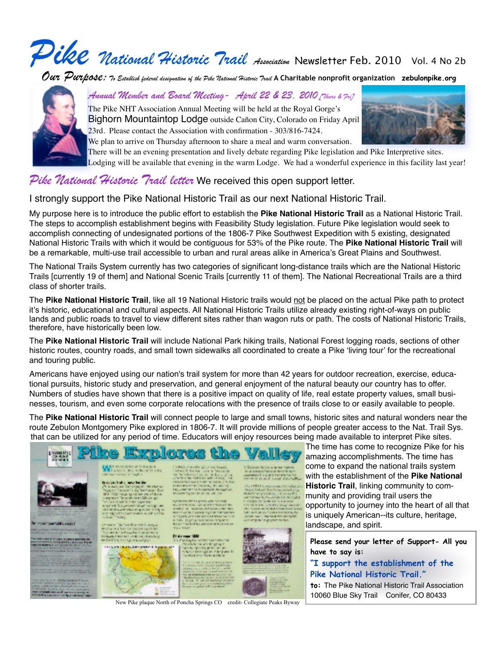# *Pike National Historic Trail Association* Newsletter Feb. 2010 Vol. 4 No 2b

*Our Purpose: To Establish federal designation of the Pike National Historic Trail* **A Charitable nonprofit organization zebulonpike.org**



*Annual Member and Board Meeting- April 22 & 23, 2010 [Thurs & Fri]*

The Pike NHT Association Annual Meeting will be held at the Royal Gorge's Bighorn Mountaintop Lodge outside Cañon City, Colorado on Friday April 23rd. Please contact the Association with confirmation - 303/816-7424.



We plan to arrive on Thursday afternoon to share a meal and warm conversation.

There will be an evening presentation and lively debate regarding Pike legislation and Pike Interpretive sites.

Lodging will be available that evening in the warm Lodge. We had a wonderful experience in this facility last year!

### *Pike National Historic Trail letter* We received this open support letter.

I strongly support the Pike National Historic Trail as our next National Historic Trail.

My purpose here is to introduce the public effort to establish the **Pike National Historic Trail** as a National Historic Trail. The steps to accomplish establishment begins with Feasibility Study legislation. Future Pike legislation would seek to accomplish connecting of undesignated portions of the 1806-7 Pike Southwest Expedition with 5 existing, designated National Historic Trails with which it would be contiguous for 53% of the Pike route. The **Pike National Historic Trail** will be a remarkable, multi-use trail accessible to urban and rural areas alike in America's Great Plains and Southwest.

The National Trails System currently has two categories of significant long-distance trails which are the National Historic Trails [currently 19 of them] and National Scenic Trails [currently 11 of them]. The National Recreational Trails are a third class of shorter trails.

The Pike National Historic Trail, like all 19 National Historic trails would not be placed on the actual Pike path to protect it's historic, educational and cultural aspects. All National Historic Trails utilize already existing right-of-ways on public lands and public roads to travel to view different sites rather than wagon ruts or path. The costs of National Historic Trails, therefore, have historically been low.

The **Pike National Historic Trail** will include National Park hiking trails, National Forest logging roads, sections of other historic routes, country roads, and small town sidewalks all coordinated to create a Pike ʻliving tour' for the recreational and touring public.

Americans have enjoyed using our nation's trail system for more than 42 years for outdoor recreation, exercise, educational pursuits, historic study and preservation, and general enjoyment of the natural beauty our country has to offer. Numbers of studies have shown that there is a positive impact on quality of life, real estate property values, small businesses, tourism, and even some corporate relocations with the presence of trails close to or easily available to people.

The **Pike National Historic Trail** will connect people to large and small towns, historic sites and natural wonders near the route Zebulon Montgomery Pike explored in 1806-7. It will provide millions of people greater access to the Nat. Trail Sys. that can be utilized for any period of time. Educators will enjoy resources being made available to interpret Pike sites.



The time has come to recognize Pike for his amazing accomplishments. The time has come to expand the national trails system with the establishment of the **Pike National Historic Trail**, linking community to community and providing trail users the opportunity to journey into the heart of all that is uniquely American--its culture, heritage, landscape, and spirit.

**Please send your letter of Support- All you have to say is:** 

#### **"I support the establishment of the Pike National Historic Trail."**

**to:** The Pike National Historic Trail Association 10060 Blue Sky Trail Conifer, CO 80433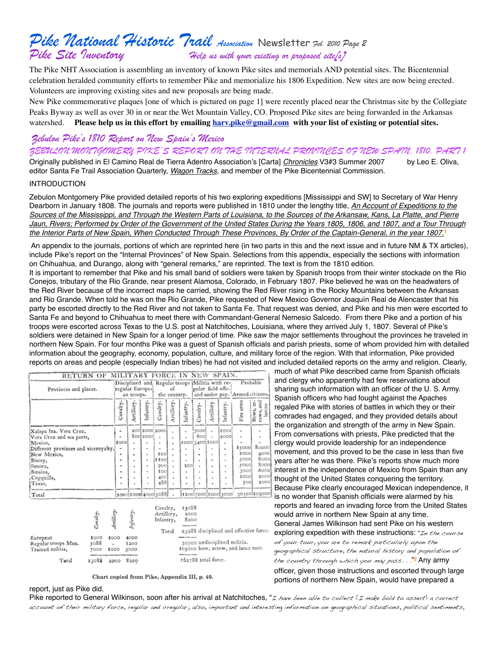## *Pike National Historic Trail Association* Newsletter *Feb. 2010 Page 2 Pike Site Inventory Help us with your existing or proposed site[s]*

The Pike NHT Association is assembling an inventory of known Pike sites and memorials AND potential sites. The Bicentennial celebration heralded community efforts to remember Pike and memorialize his 1806 Expedition. New sites are now being erected. Volunteers are improving existing sites and new proposals are being made.

New Pike commemorative plaques [one of which is pictured on page 1] were recently placed near the Christmas site by the Collegiate Peaks Byway as well as over 30 in or near the Wet Mountain Valley, CO. Proposed Pike sites are being forwarded in the Arkansas watershed. **Please help us in this effort by emailing [harv.pike@gmail.com](mailto:harv.pike@gmail.com) with your list of existing or potential sites.**

#### *Zebulon Pike's 1810 Report on New Spain's Mexico*

#### *ZEBULON MONTGOMERY PIKE'S REPORT ON THE INTERNAL PROVINCES OF NEW SPAIN, 1810, PART 1*

Originally published in El Camino Real de Tierra Adentro Association's [Carta] *Chronicles* V3#3 Summer 2007 by Leo E. Oliva, editor Santa Fe Trail Association Quarterly, *Wagon Tracks*, and member of the Pike Bicentennial Commission.

#### INTRODUCTION

Zebulon Montgomery Pike provided detailed reports of his two exploring expeditions [Mississippi and SW] to Secretary of War Henry Dearborn in January 1808. The journals and reports were published in 1810 under the lengthy title, *An Account of Expeditions to the Sources of the Mississippi, and Through the Western Parts of Louisiana, to the Sources of the Arkansaw, Kans, La Platte, and Pierre Jaun, Rivers; Performed by Order of the Government of the United States During the Years 1805, 1806, and 1807, and a Tour Through the Interior Parts of New Spain, When Conducted Through These Provinces, By Order of the Captain-General, in the year 1807.*<sup>1</sup>

 An appendix to the journals, portions of which are reprinted here (in two parts in this and the next issue and in future NM & TX articles), include Pike's report on the "Internal Provinces" of New Spain. Selections from this appendix, especially the sections with information on Chihuahua, and Durango, along with "general remarks," are reprinted. The text is from the 1810 edition.

It is important to remember that Pike and his small band of soldiers were taken by Spanish troops from their winter stockade on the Rio Conejos, tributary of the Rio Grande, near present Alamosa, Colorado, in February 1807. Pike believed he was on the headwaters of the Red River because of the incorrect maps he carried, showing the Red River rising in the Rocky Mountains between the Arkansas and Rio Grande. When told he was on the Rio Grande, Pike requested of New Mexico Governor Joaquín Real de Alencaster that his party be escorted directly to the Red River and not taken to Santa Fe. That request was denied, and Pike and his men were escorted to Santa Fe and beyond to Chihuahua to meet there with Commandant-General Nemesio Salcedo. From there Pike and a portion of his troops were escorted across Texas to the U.S. post at Natchitoches, Louisiana, where they arrived July 1, 1807. Several of Pike's soldiers were detained in New Spain for a longer period of time. Pike saw the major settlements throughout the provinces he traveled in northern New Spain. For four months Pike was a guest of Spanish officials and parish priests, some of whom provided him with detailed information about the geography, economy, population, culture, and military force of the region. With that information, Pike provided reports on areas and people (especially Indian tribes) he had not visited and included detailed reports on the army and religion. Clearly,

| Provinces and places.                | regular Europe- |            | of<br>the country. |                     |           | RETURN OF MILITARY FORCE IN NEW SPAIN.<br>Disciplined and Regular troops Militia with re-<br>gular field offic. |                |            | Probable<br>and under pay. Armed citizens. |                                  |                                        |
|--------------------------------------|-----------------|------------|--------------------|---------------------|-----------|-----------------------------------------------------------------------------------------------------------------|----------------|------------|--------------------------------------------|----------------------------------|----------------------------------------|
|                                      | an troops.      |            |                    |                     |           |                                                                                                                 |                |            |                                            |                                  |                                        |
|                                      | Cavalry.        | Artillery. | Infantry.          | Cavalry.            | rtillery. | nfantry.                                                                                                        | Cavalry.       | Artillery. | Infantry                                   | Fire arm                         | ă<br>á<br>rows, and<br>lances<br>Bows, |
| Xalapa Ina. Vera Cruz,               | ۰               |            |                    | 200 2000 2000       |           |                                                                                                                 | 3000           | ٠          | ICCO                                       | ٠                                |                                        |
| Vera Cruz and sea ports,             |                 |            | 800 2000           |                     |           |                                                                                                                 | 600            |            | 2000                                       | ٠                                |                                        |
| Mexico.                              | 1000            | ٠          |                    | ٠                   |           |                                                                                                                 | 1000 3400 1000 |            | ٠                                          |                                  |                                        |
| Different provinces and viceroyalty, |                 | ٠          |                    |                     |           |                                                                                                                 |                |            | ٠                                          | 15000                            | 80000                                  |
| New Mexico,                          | ٠               | ٠          |                    | IOO                 |           |                                                                                                                 |                |            | ٠                                          | <b>IOOO</b>                      | 4000                                   |
| Biscay,                              |                 | ٠          |                    | IIOO                |           |                                                                                                                 |                |            |                                            | 5000                             | 8000                                   |
| Senora,                              |                 |            |                    | 900                 |           | 200                                                                                                             |                |            | ٠                                          | 5000                             | 8000                                   |
| Sinaloa,                             | ۰               | ٠          |                    | IOO                 |           |                                                                                                                 | ٠              |            | ٠                                          | 3000                             | 6000                                   |
| Cogquilla,                           | ۰               | ٠          |                    | 400                 |           |                                                                                                                 | ٠              |            |                                            | <b>ICCO</b>                      | 2000                                   |
| Texas,                               | ۰               |            |                    | 488                 |           | ٠                                                                                                               |                |            |                                            | 500                              | 1000                                   |
| Total                                |                 |            |                    | 1000 1000 4000 5088 |           |                                                                                                                 |                |            |                                            | 1200 7000 1000 3000 30500 109000 |                                        |

|                                                     | Cavalry.             | Artille                  | Infantry.            | Cavalry,<br>13088<br>Artillery,<br>2000<br>8200<br>Infantry,<br>23288 disciplined and effective force.<br>Total |
|-----------------------------------------------------|----------------------|--------------------------|----------------------|-----------------------------------------------------------------------------------------------------------------|
| European<br>Regular troops Mex.<br>Trained militia, | 1000<br>5088<br>7000 | <b>IOCO</b><br>٠<br>1000 | 4000<br>1200<br>3000 | 30500 undisciplined militia.<br>109000 bow, arrow, and lance men.                                               |
| Total                                               | 13088                | 2000                     | 8200                 | 162788 total force.                                                                                             |

Chart copied from Pike, Appendix III, p. 40.

much of what Pike described came from Spanish officials and clergy who apparently had few reservations about sharing such information with an officer of the U. S. Army. Spanish officers who had fought against the Apaches regaled Pike with stories of battles in which they or their comrades had engaged, and they provided details about the organization and strength of the army in New Spain. From conversations with priests, Pike predicted that the clergy would provide leadership for an independence movement, and this proved to be the case in less than five years after he was there. Pike's reports show much more interest in the independence of Mexico from Spain than any thought of the United States conquering the territory. Because Pike clearly encouraged Mexican independence, it is no wonder that Spanish officials were alarmed by his reports and feared an invading force from the United States would arrive in northern New Spain at any time. General James Wilkinson had sent Pike on his western exploring expedition with these instructions: "In the course of your tour, you are to remark particularly upon the geographical structure, the natural history and population of the country through which you may pass. . ."<mark>?</mark> <code>Any</code> <code>army</code> officer, given those instructions and escorted through large portions of northern New Spain, would have prepared a

#### report, just as Pike did.

Pike reported to General Wilkinson, soon after his arrival at Natchitoches, "I have been able to collect (I make bold to assert) a correct account of their military force, regular and irregular; also, important and interesting information on geographical situations, political sentiments,